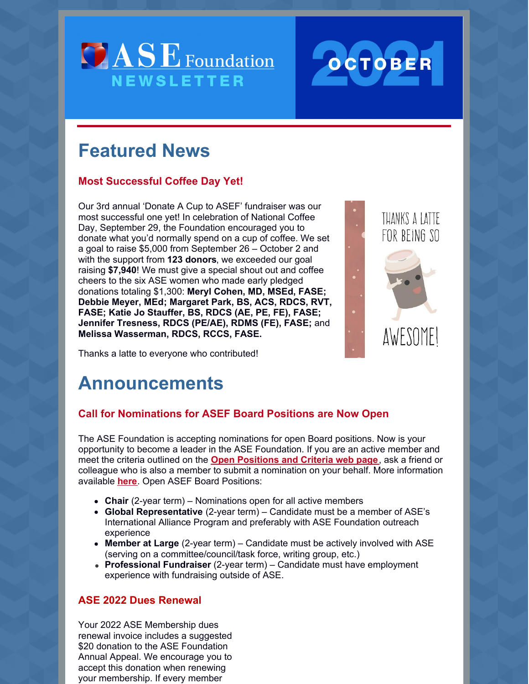



# **Featured News**

### **Most Successful Coffee Day Yet!**

Our 3rd annual 'Donate A Cup to ASEF' fundraiser was our most successful one yet! In celebration of National Coffee Day, September 29, the Foundation encouraged you to donate what you'd normally spend on a cup of coffee. We set a goal to raise \$5,000 from September 26 – October 2 and with the support from **123 donors**, we exceeded our goal raising **\$7,940**! We must give a special shout out and coffee cheers to the six ASE women who made early pledged donations totaling \$1,300: **Meryl Cohen, MD, MSEd, FASE; Debbie Meyer, MEd; Margaret Park, BS, ACS, RDCS, RVT, FASE; Katie Jo Stauffer, BS, RDCS (AE, PE, FE), FASE; Jennifer Tresness, RDCS (PE/AE), RDMS (FE), FASE;** and **Melissa Wasserman, RDCS, RCCS, FASE.**



Thanks a latte to everyone who contributed!

# **Announcements**

## **Call for Nominations for ASEF Board Positions are Now Open**

The ASE Foundation is accepting nominations for open Board positions. Now is your opportunity to become a leader in the ASE Foundation. If you are an active member and meet the criteria outlined on the **Open [Positions](https://www.asecho.org/officersandboardnominations/open-positions-and-criteria/) and Criteria web page**, ask a friend or colleague who is also a member to submit a nomination on your behalf. More information available **[here](https://www.asecho.org/officersandboardnominations/)**. Open ASEF Board Positions:

- **Chair** (2-year term) Nominations open for all active members
- **Global Representative** (2-year term) Candidate must be a member of ASE's International Alliance Program and preferably with ASE Foundation outreach experience
- **Member at Large** (2-year term) Candidate must be actively involved with ASE (serving on a committee/council/task force, writing group, etc.)
- **Professional Fundraiser** (2-year term) Candidate must have employment experience with fundraising outside of ASE.

### **ASE 2022 Dues Renewal**

Your 2022 ASE Membership dues renewal invoice includes a suggested \$20 donation to the ASE Foundation Annual Appeal. We encourage you to accept this donation when renewing your membership. If every member